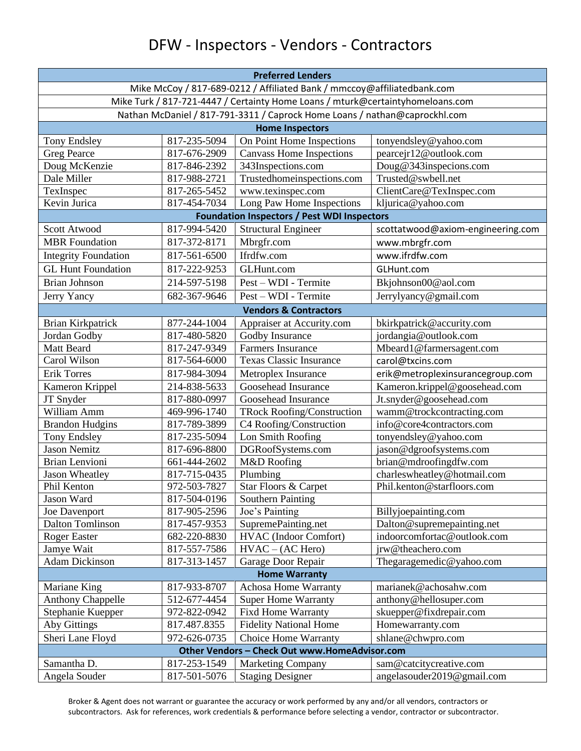## DFW - Inspectors - Vendors - Contractors

| <b>Preferred Lenders</b>                                                       |              |                                   |                                   |  |  |
|--------------------------------------------------------------------------------|--------------|-----------------------------------|-----------------------------------|--|--|
| Mike McCoy / 817-689-0212 / Affiliated Bank / mmccoy@affiliatedbank.com        |              |                                   |                                   |  |  |
| Mike Turk / 817-721-4447 / Certainty Home Loans / mturk@certaintyhomeloans.com |              |                                   |                                   |  |  |
| Nathan McDaniel / 817-791-3311 / Caprock Home Loans / nathan@caprockhl.com     |              |                                   |                                   |  |  |
|                                                                                |              | <b>Home Inspectors</b>            |                                   |  |  |
| Tony Endsley                                                                   | 817-235-5094 | On Point Home Inspections         | tonyendsley@yahoo.com             |  |  |
| <b>Greg Pearce</b>                                                             | 817-676-2909 | <b>Canvass Home Inspections</b>   | pearcejr12@outlook.com            |  |  |
| Doug McKenzie                                                                  | 817-846-2392 | 343Inspections.com                | Doug@343inspecions.com            |  |  |
| Dale Miller                                                                    | 817-988-2721 | Trustedhomeinspections.com        | Trusted@swbell.net                |  |  |
| TexInspec                                                                      | 817-265-5452 | www.texinspec.com                 | ClientCare@TexInspec.com          |  |  |
| Kevin Jurica                                                                   | 817-454-7034 | Long Paw Home Inspections         | kljurica@yahoo.com                |  |  |
| <b>Foundation Inspectors / Pest WDI Inspectors</b>                             |              |                                   |                                   |  |  |
| Scott Atwood                                                                   | 817-994-5420 | Structural Engineer               | scottatwood@axiom-engineering.com |  |  |
| <b>MBR</b> Foundation                                                          | 817-372-8171 | Mbrgfr.com                        | www.mbrgfr.com                    |  |  |
| <b>Integrity Foundation</b>                                                    | 817-561-6500 | Ifrdfw.com                        | www.ifrdfw.com                    |  |  |
| <b>GL Hunt Foundation</b>                                                      | 817-222-9253 | GLHunt.com                        | GLHunt.com                        |  |  |
| <b>Brian Johnson</b>                                                           | 214-597-5198 | Pest – WDI - Termite              | Bkjohnson00@aol.com               |  |  |
| Jerry Yancy                                                                    | 682-367-9646 | Pest – WDI - Termite              | Jerrylyancy@gmail.com             |  |  |
| <b>Vendors &amp; Contractors</b>                                               |              |                                   |                                   |  |  |
| Brian Kirkpatrick                                                              | 877-244-1004 | Appraiser at Accurity.com         | bkirkpatrick@accurity.com         |  |  |
| Jordan Godby                                                                   | 817-480-5820 | Godby Insurance                   | jordangia@outlook.com             |  |  |
| Matt Beard                                                                     | 817-247-9349 | Farmers Insurance                 | Mbeard1@farmersagent.com          |  |  |
| Carol Wilson                                                                   | 817-564-6000 | <b>Texas Classic Insurance</b>    | carol@txcins.com                  |  |  |
| <b>Erik Torres</b>                                                             | 817-984-3094 | Metroplex Insurance               | erik@metroplexinsurancegroup.com  |  |  |
| Kameron Krippel                                                                | 214-838-5633 | Goosehead Insurance               | Kameron.krippel@goosehead.com     |  |  |
| JT Snyder                                                                      | 817-880-0997 | Goosehead Insurance               | Jt.snyder@goosehead.com           |  |  |
| William Amm                                                                    | 469-996-1740 | <b>TRock Roofing/Construction</b> | wamm@trockcontracting.com         |  |  |
| <b>Brandon Hudgins</b>                                                         | 817-789-3899 | C4 Roofing/Construction           | info@core4contractors.com         |  |  |
| Tony Endsley                                                                   | 817-235-5094 | Lon Smith Roofing                 | tonyendsley@yahoo.com             |  |  |
| <b>Jason Nemitz</b>                                                            | 817-696-8800 | DGRoofSystems.com                 | jason@dgroofsystems.com           |  |  |
| <b>Brian Lenvioni</b>                                                          | 661-444-2602 | M&D Roofing                       | brian@mdroofingdfw.com            |  |  |
| <b>Jason Wheatley</b>                                                          | 817-715-0435 | Plumbing                          | charleswheatley@hotmail.com       |  |  |
| Phil Kenton                                                                    | 972-503-7827 | Star Floors & Carpet              | Phil.kenton@starfloors.com        |  |  |
| Jason Ward                                                                     | 817-504-0196 | Southern Painting                 |                                   |  |  |
| Joe Davenport                                                                  | 817-905-2596 | Joe's Painting                    | Billyjoepainting.com              |  |  |
| <b>Dalton Tomlinson</b>                                                        | 817-457-9353 | SupremePainting.net               | Dalton@supremepainting.net        |  |  |
| <b>Roger Easter</b>                                                            | 682-220-8830 | <b>HVAC</b> (Indoor Comfort)      | indoorcomfortac@outlook.com       |  |  |
| Jamye Wait                                                                     | 817-557-7586 | $HVAC - (AC Hero)$                | jrw@theachero.com                 |  |  |
| <b>Adam Dickinson</b>                                                          | 817-313-1457 | Garage Door Repair                | Thegaragemedic@yahoo.com          |  |  |
| <b>Home Warranty</b>                                                           |              |                                   |                                   |  |  |
| Mariane King                                                                   | 817-933-8707 | <b>Achosa Home Warranty</b>       | marianek@achosahw.com             |  |  |
| Anthony Chappelle                                                              | 512-677-4454 | <b>Super Home Warranty</b>        | anthony@hellosuper.com            |  |  |
| Stephanie Kuepper                                                              | 972-822-0942 | <b>Fixd Home Warranty</b>         | skuepper@fixdrepair.com           |  |  |
| Aby Gittings                                                                   | 817.487.8355 | <b>Fidelity National Home</b>     | Homewarranty.com                  |  |  |
| Sheri Lane Floyd                                                               | 972-626-0735 | Choice Home Warranty              | shlane@chwpro.com                 |  |  |
| Other Vendors - Check Out www.HomeAdvisor.com                                  |              |                                   |                                   |  |  |
| Samantha D.                                                                    | 817-253-1549 | <b>Marketing Company</b>          | sam@catcitycreative.com           |  |  |
| Angela Souder                                                                  | 817-501-5076 | <b>Staging Designer</b>           | angelasouder2019@gmail.com        |  |  |

Broker & Agent does not warrant or guarantee the accuracy or work performed by any and/or all vendors, contractors or subcontractors. Ask for references, work credentials & performance before selecting a vendor, contractor or subcontractor.